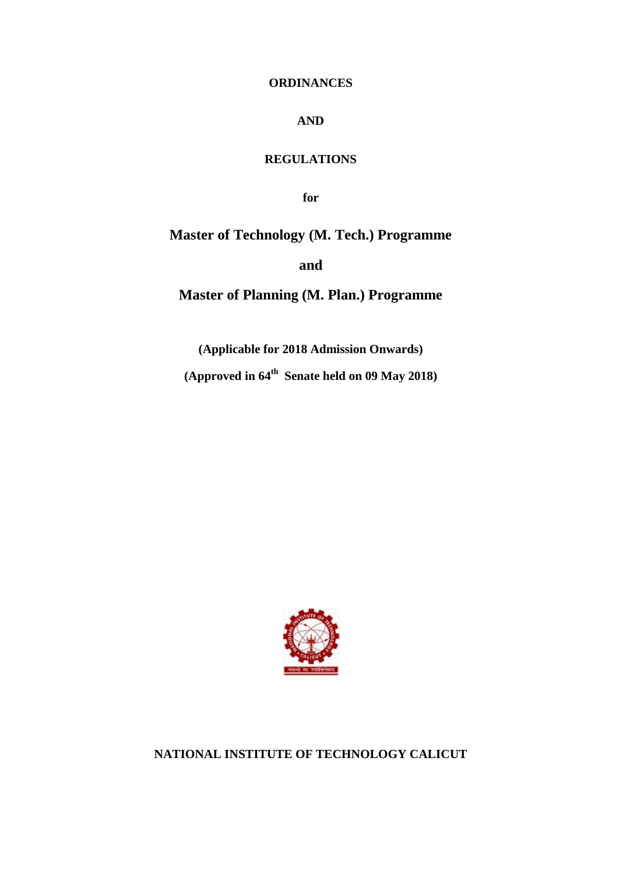## **ORDINANCES**

# **AND**

# **REGULATIONS**

**for**

**Master of Technology (M. Tech.) Programme**

**and**

**Master of Planning (M. Plan.) Programme**

**(Applicable for 2018 Admission Onwards) (Approved in 64th Senate held on 09 May 2018)**



**NATIONAL INSTITUTE OF TECHNOLOGY CALICUT**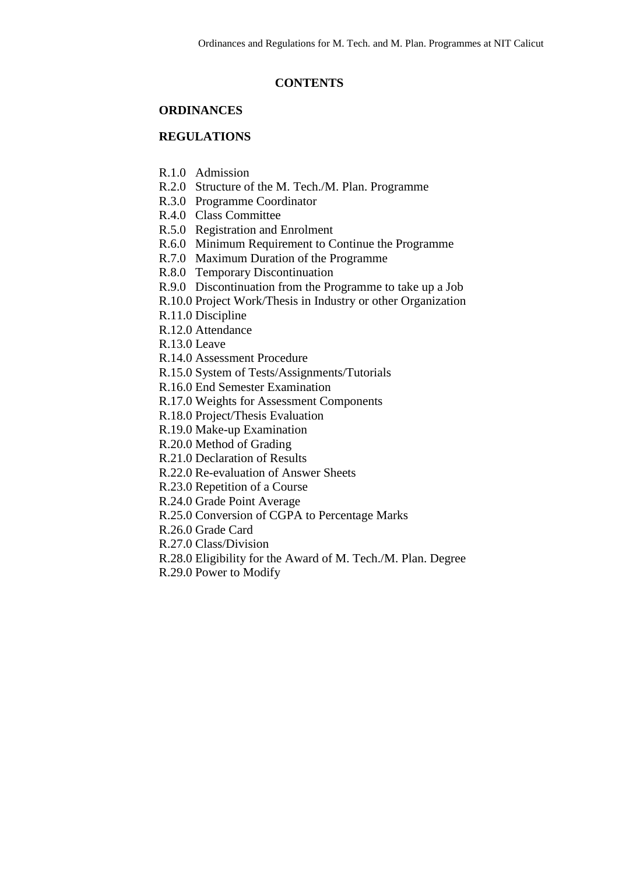#### **CONTENTS**

#### **ORDINANCES**

## **REGULATIONS**

- R.1.0 Admission
- R.2.0 Structure of the M. Tech./M. Plan. Programme
- R.3.0 Programme Coordinator
- R.4.0 Class Committee
- R.5.0 Registration and Enrolment
- R.6.0 Minimum Requirement to Continue the Programme
- R.7.0 Maximum Duration of the Programme
- R.8.0 Temporary Discontinuation
- R.9.0 Discontinuation from the Programme to take up a Job
- R.10.0 Project Work/Thesis in Industry or other Organization
- R.11.0 Discipline
- R.12.0 Attendance
- R.13.0 Leave
- R.14.0 Assessment Procedure
- R.15.0 System of Tests/Assignments/Tutorials
- R.16.0 End Semester Examination
- R.17.0 Weights for Assessment Components
- R.18.0 Project/Thesis Evaluation
- R.19.0 Make-up Examination
- R.20.0 Method of Grading
- R.21.0 Declaration of Results
- R.22.0 Re-evaluation of Answer Sheets
- R.23.0 Repetition of a Course
- R.24.0 Grade Point Average
- R.25.0 Conversion of CGPA to Percentage Marks
- R.26.0 Grade Card
- R.27.0 Class/Division
- R.28.0 Eligibility for the Award of M. Tech./M. Plan. Degree
- R.29.0 Power to Modify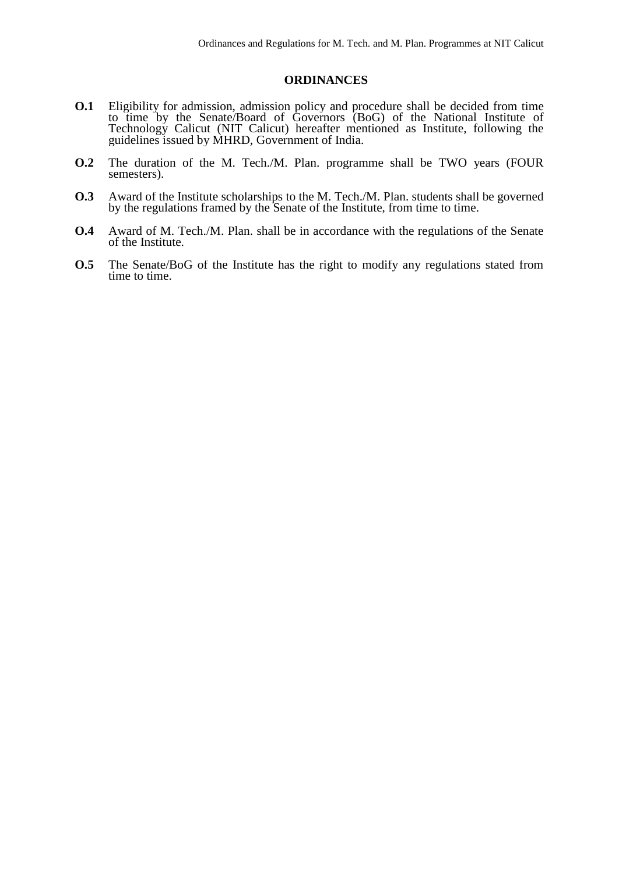#### **ORDINANCES**

- **O.1** Eligibility for admission, admission policy and procedure shall be decided from time to time by the Senate/Board of Governors (BoG) of the National Institute of Technology Calicut (NIT Calicut) hereafter mentioned as Institute, following the guidelines issued by MHRD, Government of India.
- **O.2** The duration of the M. Tech./M. Plan. programme shall be TWO years (FOUR semesters).
- **O.3** Award of the Institute scholarships to the M. Tech./M. Plan. students shall be governed by the regulations framed by the Senate of the Institute, from time to time.
- **O.4** Award of M. Tech./M. Plan. shall be in accordance with the regulations of the Senate of the Institute.
- **O.5** The Senate/BoG of the Institute has the right to modify any regulations stated from time to time.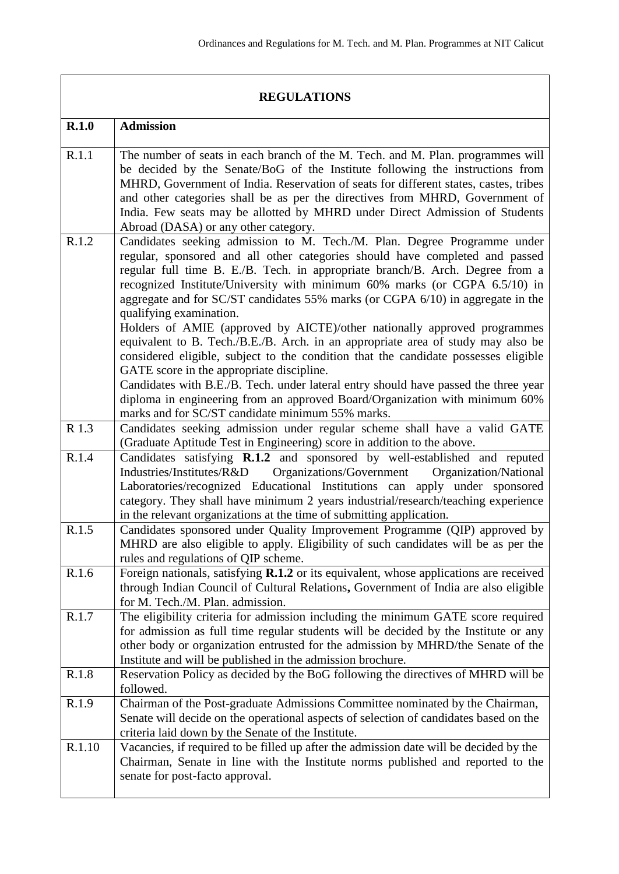|        | <b>REGULATIONS</b>                                                                                                                                                                                                                                                                                                                                                                                                                                                                                                                                                                                                                                                                                                                                                                                                                                                                                              |
|--------|-----------------------------------------------------------------------------------------------------------------------------------------------------------------------------------------------------------------------------------------------------------------------------------------------------------------------------------------------------------------------------------------------------------------------------------------------------------------------------------------------------------------------------------------------------------------------------------------------------------------------------------------------------------------------------------------------------------------------------------------------------------------------------------------------------------------------------------------------------------------------------------------------------------------|
| R.1.0  | <b>Admission</b>                                                                                                                                                                                                                                                                                                                                                                                                                                                                                                                                                                                                                                                                                                                                                                                                                                                                                                |
| R.1.1  | The number of seats in each branch of the M. Tech. and M. Plan. programmes will<br>be decided by the Senate/BoG of the Institute following the instructions from<br>MHRD, Government of India. Reservation of seats for different states, castes, tribes<br>and other categories shall be as per the directives from MHRD, Government of<br>India. Few seats may be allotted by MHRD under Direct Admission of Students<br>Abroad (DASA) or any other category.                                                                                                                                                                                                                                                                                                                                                                                                                                                 |
| R.1.2  | Candidates seeking admission to M. Tech./M. Plan. Degree Programme under<br>regular, sponsored and all other categories should have completed and passed<br>regular full time B. E./B. Tech. in appropriate branch/B. Arch. Degree from a<br>recognized Institute/University with minimum 60% marks (or CGPA 6.5/10) in<br>aggregate and for SC/ST candidates 55% marks (or CGPA 6/10) in aggregate in the<br>qualifying examination.<br>Holders of AMIE (approved by AICTE)/other nationally approved programmes<br>equivalent to B. Tech./B.E./B. Arch. in an appropriate area of study may also be<br>considered eligible, subject to the condition that the candidate possesses eligible<br>GATE score in the appropriate discipline.<br>Candidates with B.E./B. Tech. under lateral entry should have passed the three year<br>diploma in engineering from an approved Board/Organization with minimum 60% |
| R 1.3  | marks and for SC/ST candidate minimum 55% marks.<br>Candidates seeking admission under regular scheme shall have a valid GATE<br>(Graduate Aptitude Test in Engineering) score in addition to the above.                                                                                                                                                                                                                                                                                                                                                                                                                                                                                                                                                                                                                                                                                                        |
| R.1.4  | Candidates satisfying R.1.2 and sponsored by well-established and reputed<br>Organizations/Government<br>Industries/Institutes/R&D<br>Organization/National<br>Laboratories/recognized Educational Institutions can apply under sponsored<br>category. They shall have minimum 2 years industrial/research/teaching experience<br>in the relevant organizations at the time of submitting application.                                                                                                                                                                                                                                                                                                                                                                                                                                                                                                          |
| R.1.5  | Candidates sponsored under Quality Improvement Programme (QIP) approved by<br>MHRD are also eligible to apply. Eligibility of such candidates will be as per the<br>rules and regulations of QIP scheme.                                                                                                                                                                                                                                                                                                                                                                                                                                                                                                                                                                                                                                                                                                        |
| R.1.6  | Foreign nationals, satisfying R.1.2 or its equivalent, whose applications are received<br>through Indian Council of Cultural Relations, Government of India are also eligible<br>for M. Tech./M. Plan. admission.                                                                                                                                                                                                                                                                                                                                                                                                                                                                                                                                                                                                                                                                                               |
| R.1.7  | The eligibility criteria for admission including the minimum GATE score required<br>for admission as full time regular students will be decided by the Institute or any<br>other body or organization entrusted for the admission by MHRD/the Senate of the<br>Institute and will be published in the admission brochure.                                                                                                                                                                                                                                                                                                                                                                                                                                                                                                                                                                                       |
| R.1.8  | Reservation Policy as decided by the BoG following the directives of MHRD will be<br>followed.                                                                                                                                                                                                                                                                                                                                                                                                                                                                                                                                                                                                                                                                                                                                                                                                                  |
| R.1.9  | Chairman of the Post-graduate Admissions Committee nominated by the Chairman,<br>Senate will decide on the operational aspects of selection of candidates based on the<br>criteria laid down by the Senate of the Institute.                                                                                                                                                                                                                                                                                                                                                                                                                                                                                                                                                                                                                                                                                    |
| R.1.10 | Vacancies, if required to be filled up after the admission date will be decided by the<br>Chairman, Senate in line with the Institute norms published and reported to the<br>senate for post-facto approval.                                                                                                                                                                                                                                                                                                                                                                                                                                                                                                                                                                                                                                                                                                    |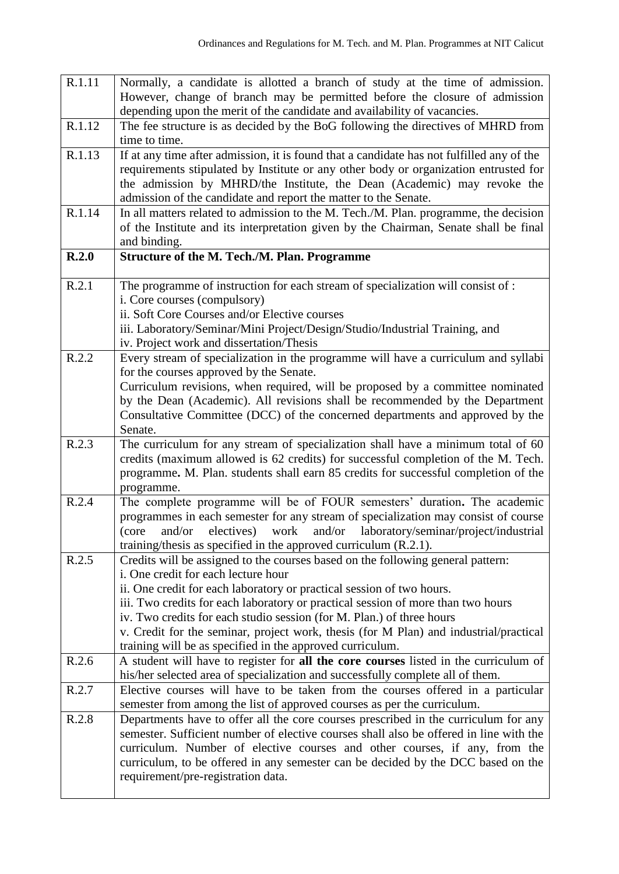| R.1.11 | Normally, a candidate is allotted a branch of study at the time of admission.             |
|--------|-------------------------------------------------------------------------------------------|
|        | However, change of branch may be permitted before the closure of admission                |
|        | depending upon the merit of the candidate and availability of vacancies.                  |
| R.1.12 | The fee structure is as decided by the BoG following the directives of MHRD from          |
|        | time to time.                                                                             |
| R.1.13 | If at any time after admission, it is found that a candidate has not fulfilled any of the |
|        | requirements stipulated by Institute or any other body or organization entrusted for      |
|        | the admission by MHRD/the Institute, the Dean (Academic) may revoke the                   |
|        | admission of the candidate and report the matter to the Senate.                           |
| R.1.14 | In all matters related to admission to the M. Tech./M. Plan. programme, the decision      |
|        | of the Institute and its interpretation given by the Chairman, Senate shall be final      |
|        | and binding.                                                                              |
| R.2.0  | <b>Structure of the M. Tech./M. Plan. Programme</b>                                       |
|        |                                                                                           |
| R.2.1  | The programme of instruction for each stream of specialization will consist of :          |
|        | i. Core courses (compulsory)                                                              |
|        | ii. Soft Core Courses and/or Elective courses                                             |
|        | iii. Laboratory/Seminar/Mini Project/Design/Studio/Industrial Training, and               |
|        | iv. Project work and dissertation/Thesis                                                  |
| R.2.2  | Every stream of specialization in the programme will have a curriculum and syllabi        |
|        | for the courses approved by the Senate.                                                   |
|        | Curriculum revisions, when required, will be proposed by a committee nominated            |
|        | by the Dean (Academic). All revisions shall be recommended by the Department              |
|        | Consultative Committee (DCC) of the concerned departments and approved by the             |
|        | Senate.                                                                                   |
| R.2.3  | The curriculum for any stream of specialization shall have a minimum total of 60          |
|        | credits (maximum allowed is 62 credits) for successful completion of the M. Tech.         |
|        | programme. M. Plan. students shall earn 85 credits for successful completion of the       |
|        | programme.                                                                                |
| R.2.4  | The complete programme will be of FOUR semesters' duration. The academic                  |
|        | programmes in each semester for any stream of specialization may consist of course        |
|        |                                                                                           |
|        | and/or electives) work and/or laboratory/seminar/project/industrial<br>(core              |
|        | training/thesis as specified in the approved curriculum (R.2.1).                          |
| R.2.5  | Credits will be assigned to the courses based on the following general pattern:           |
|        | i. One credit for each lecture hour                                                       |
|        | ii. One credit for each laboratory or practical session of two hours.                     |
|        | iii. Two credits for each laboratory or practical session of more than two hours          |
|        | iv. Two credits for each studio session (for M. Plan.) of three hours                     |
|        | v. Credit for the seminar, project work, thesis (for M Plan) and industrial/practical     |
|        | training will be as specified in the approved curriculum.                                 |
| R.2.6  | A student will have to register for all the core courses listed in the curriculum of      |
|        | his/her selected area of specialization and successfully complete all of them.            |
| R.2.7  | Elective courses will have to be taken from the courses offered in a particular           |
|        | semester from among the list of approved courses as per the curriculum.                   |
| R.2.8  | Departments have to offer all the core courses prescribed in the curriculum for any       |
|        | semester. Sufficient number of elective courses shall also be offered in line with the    |
|        | curriculum. Number of elective courses and other courses, if any, from the                |
|        | curriculum, to be offered in any semester can be decided by the DCC based on the          |
|        | requirement/pre-registration data.                                                        |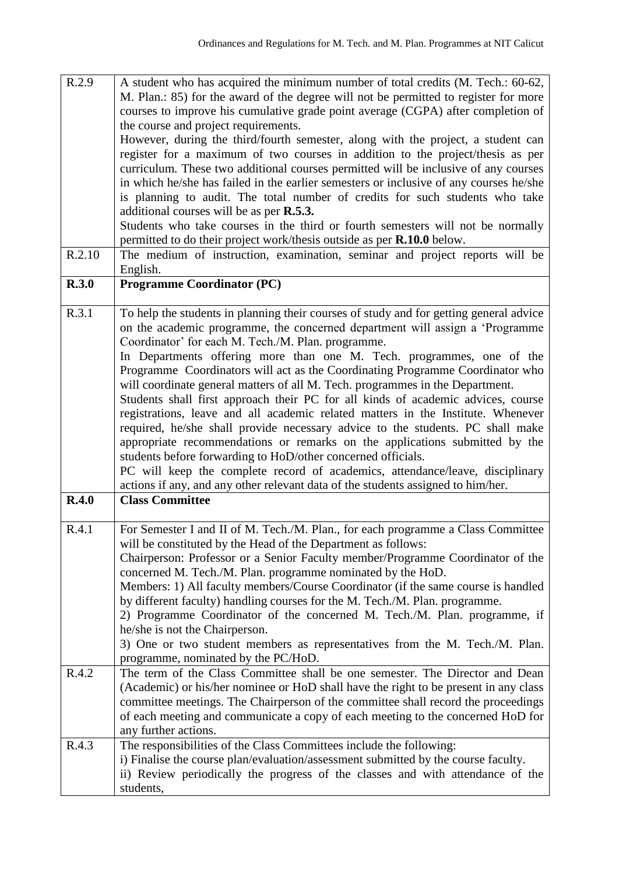| R.2.9  | A student who has acquired the minimum number of total credits (M. Tech.: 60-62,                           |
|--------|------------------------------------------------------------------------------------------------------------|
|        | M. Plan.: 85) for the award of the degree will not be permitted to register for more                       |
|        | courses to improve his cumulative grade point average (CGPA) after completion of                           |
|        | the course and project requirements.                                                                       |
|        | However, during the third/fourth semester, along with the project, a student can                           |
|        | register for a maximum of two courses in addition to the project/thesis as per                             |
|        | curriculum. These two additional courses permitted will be inclusive of any courses                        |
|        | in which he/she has failed in the earlier semesters or inclusive of any courses he/she                     |
|        |                                                                                                            |
|        | is planning to audit. The total number of credits for such students who take                               |
|        | additional courses will be as per <b>R.5.3.</b>                                                            |
|        | Students who take courses in the third or fourth semesters will not be normally                            |
|        | permitted to do their project work/thesis outside as per R.10.0 below.                                     |
| R.2.10 | The medium of instruction, examination, seminar and project reports will be                                |
|        | English.                                                                                                   |
| R.3.0  | <b>Programme Coordinator (PC)</b>                                                                          |
|        |                                                                                                            |
| R.3.1  | To help the students in planning their courses of study and for getting general advice                     |
|        | on the academic programme, the concerned department will assign a 'Programme'                              |
|        | Coordinator' for each M. Tech./M. Plan. programme.                                                         |
|        | In Departments offering more than one M. Tech. programmes, one of the                                      |
|        | Programme Coordinators will act as the Coordinating Programme Coordinator who                              |
|        | will coordinate general matters of all M. Tech. programmes in the Department.                              |
|        | Students shall first approach their PC for all kinds of academic advices, course                           |
|        | registrations, leave and all academic related matters in the Institute. Whenever                           |
|        | required, he/she shall provide necessary advice to the students. PC shall make                             |
|        | appropriate recommendations or remarks on the applications submitted by the                                |
|        | students before forwarding to HoD/other concerned officials.                                               |
|        |                                                                                                            |
|        |                                                                                                            |
|        | PC will keep the complete record of academics, attendance/leave, disciplinary                              |
| R.4.0  | actions if any, and any other relevant data of the students assigned to him/her.<br><b>Class Committee</b> |
|        |                                                                                                            |
| R.4.1  |                                                                                                            |
|        | For Semester I and II of M. Tech./M. Plan., for each programme a Class Committee                           |
|        | will be constituted by the Head of the Department as follows:                                              |
|        | Chairperson: Professor or a Senior Faculty member/Programme Coordinator of the                             |
|        | concerned M. Tech./M. Plan. programme nominated by the HoD.                                                |
|        | Members: 1) All faculty members/Course Coordinator (if the same course is handled                          |
|        | by different faculty) handling courses for the M. Tech./M. Plan. programme.                                |
|        | 2) Programme Coordinator of the concerned M. Tech./M. Plan. programme, if                                  |
|        | he/she is not the Chairperson.                                                                             |
|        | 3) One or two student members as representatives from the M. Tech./M. Plan.                                |
|        | programme, nominated by the PC/HoD.                                                                        |
| R.4.2  | The term of the Class Committee shall be one semester. The Director and Dean                               |
|        | (Academic) or his/her nominee or HoD shall have the right to be present in any class                       |
|        | committee meetings. The Chairperson of the committee shall record the proceedings                          |
|        | of each meeting and communicate a copy of each meeting to the concerned HoD for                            |
|        | any further actions.                                                                                       |
| R.4.3  | The responsibilities of the Class Committees include the following:                                        |
|        | i) Finalise the course plan/evaluation/assessment submitted by the course faculty.                         |
|        | ii) Review periodically the progress of the classes and with attendance of the<br>students,                |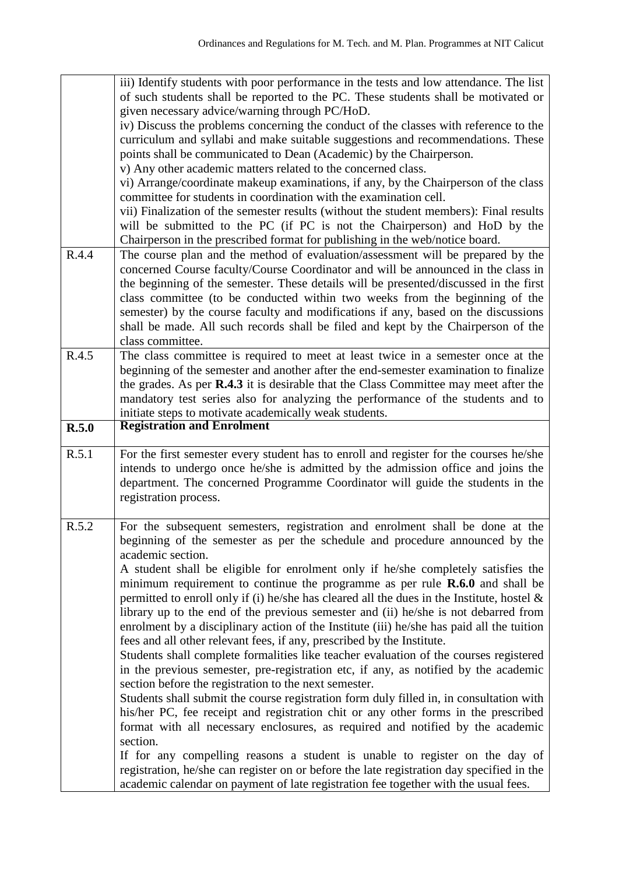|       | iii) Identify students with poor performance in the tests and low attendance. The list<br>of such students shall be reported to the PC. These students shall be motivated or<br>given necessary advice/warning through PC/HoD.<br>iv) Discuss the problems concerning the conduct of the classes with reference to the<br>curriculum and syllabi and make suitable suggestions and recommendations. These<br>points shall be communicated to Dean (Academic) by the Chairperson.<br>v) Any other academic matters related to the concerned class.<br>vi) Arrange/coordinate makeup examinations, if any, by the Chairperson of the class<br>committee for students in coordination with the examination cell.                                                                                                                                                                                                                                                                                                                                                                                                                                                                                                                                                                                                                                                                                                                         |
|-------|---------------------------------------------------------------------------------------------------------------------------------------------------------------------------------------------------------------------------------------------------------------------------------------------------------------------------------------------------------------------------------------------------------------------------------------------------------------------------------------------------------------------------------------------------------------------------------------------------------------------------------------------------------------------------------------------------------------------------------------------------------------------------------------------------------------------------------------------------------------------------------------------------------------------------------------------------------------------------------------------------------------------------------------------------------------------------------------------------------------------------------------------------------------------------------------------------------------------------------------------------------------------------------------------------------------------------------------------------------------------------------------------------------------------------------------|
|       | vii) Finalization of the semester results (without the student members): Final results<br>will be submitted to the PC (if PC is not the Chairperson) and HoD by the<br>Chairperson in the prescribed format for publishing in the web/notice board.                                                                                                                                                                                                                                                                                                                                                                                                                                                                                                                                                                                                                                                                                                                                                                                                                                                                                                                                                                                                                                                                                                                                                                                   |
| R.4.4 | The course plan and the method of evaluation/assessment will be prepared by the<br>concerned Course faculty/Course Coordinator and will be announced in the class in<br>the beginning of the semester. These details will be presented/discussed in the first<br>class committee (to be conducted within two weeks from the beginning of the<br>semester) by the course faculty and modifications if any, based on the discussions<br>shall be made. All such records shall be filed and kept by the Chairperson of the<br>class committee.                                                                                                                                                                                                                                                                                                                                                                                                                                                                                                                                                                                                                                                                                                                                                                                                                                                                                           |
| R.4.5 | The class committee is required to meet at least twice in a semester once at the<br>beginning of the semester and another after the end-semester examination to finalize<br>the grades. As per <b>R.4.3</b> it is desirable that the Class Committee may meet after the<br>mandatory test series also for analyzing the performance of the students and to<br>initiate steps to motivate academically weak students.                                                                                                                                                                                                                                                                                                                                                                                                                                                                                                                                                                                                                                                                                                                                                                                                                                                                                                                                                                                                                  |
| R.5.0 | <b>Registration and Enrolment</b>                                                                                                                                                                                                                                                                                                                                                                                                                                                                                                                                                                                                                                                                                                                                                                                                                                                                                                                                                                                                                                                                                                                                                                                                                                                                                                                                                                                                     |
| R.5.1 | For the first semester every student has to enroll and register for the courses he/she<br>intends to undergo once he/she is admitted by the admission office and joins the<br>department. The concerned Programme Coordinator will guide the students in the<br>registration process.                                                                                                                                                                                                                                                                                                                                                                                                                                                                                                                                                                                                                                                                                                                                                                                                                                                                                                                                                                                                                                                                                                                                                 |
| R.5.2 | For the subsequent semesters, registration and enrolment shall be done at the<br>beginning of the semester as per the schedule and procedure announced by the<br>academic section.<br>A student shall be eligible for enrolment only if he/she completely satisfies the<br>minimum requirement to continue the programme as per rule $\mathbf{R.6.0}$ and shall be<br>permitted to enroll only if (i) he/she has cleared all the dues in the Institute, hostel $\&$<br>library up to the end of the previous semester and (ii) he/she is not debarred from<br>enrolment by a disciplinary action of the Institute (iii) he/she has paid all the tuition<br>fees and all other relevant fees, if any, prescribed by the Institute.<br>Students shall complete formalities like teacher evaluation of the courses registered<br>in the previous semester, pre-registration etc, if any, as notified by the academic<br>section before the registration to the next semester.<br>Students shall submit the course registration form duly filled in, in consultation with<br>his/her PC, fee receipt and registration chit or any other forms in the prescribed<br>format with all necessary enclosures, as required and notified by the academic<br>section.<br>If for any compelling reasons a student is unable to register on the day of<br>registration, he/she can register on or before the late registration day specified in the |
|       | academic calendar on payment of late registration fee together with the usual fees.                                                                                                                                                                                                                                                                                                                                                                                                                                                                                                                                                                                                                                                                                                                                                                                                                                                                                                                                                                                                                                                                                                                                                                                                                                                                                                                                                   |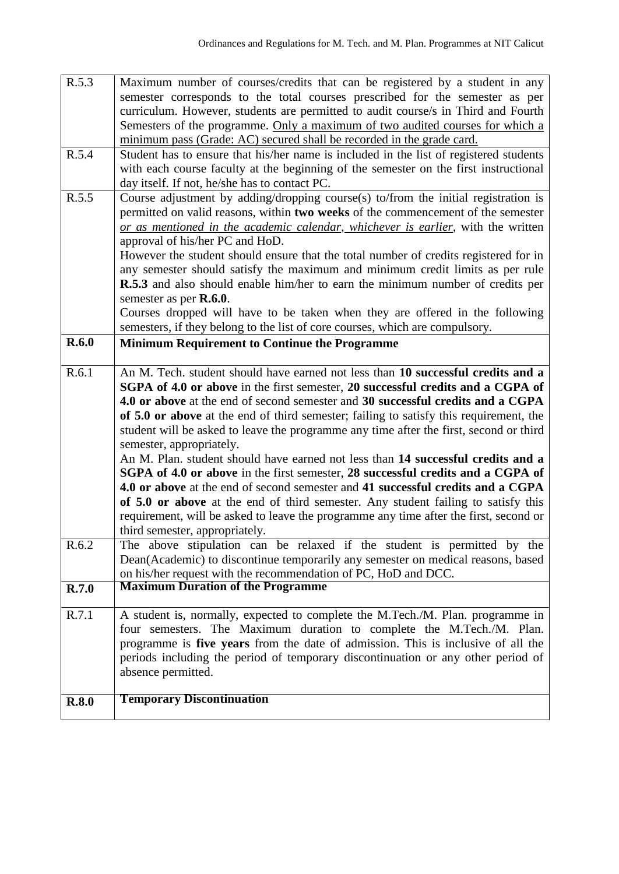| R.5.3 | Maximum number of courses/credits that can be registered by a student in any                                                                                                                            |
|-------|---------------------------------------------------------------------------------------------------------------------------------------------------------------------------------------------------------|
|       | semester corresponds to the total courses prescribed for the semester as per                                                                                                                            |
|       | curriculum. However, students are permitted to audit course/s in Third and Fourth                                                                                                                       |
|       | Semesters of the programme. Only a maximum of two audited courses for which a                                                                                                                           |
|       | minimum pass (Grade: AC) secured shall be recorded in the grade card.                                                                                                                                   |
| R.5.4 | Student has to ensure that his/her name is included in the list of registered students                                                                                                                  |
|       | with each course faculty at the beginning of the semester on the first instructional                                                                                                                    |
|       | day itself. If not, he/she has to contact PC.                                                                                                                                                           |
| R.5.5 | Course adjustment by adding/dropping course(s) to/from the initial registration is                                                                                                                      |
|       | permitted on valid reasons, within two weeks of the commencement of the semester                                                                                                                        |
|       | or as mentioned in the academic calendar, whichever is earlier, with the written                                                                                                                        |
|       | approval of his/her PC and HoD.                                                                                                                                                                         |
|       |                                                                                                                                                                                                         |
|       | However the student should ensure that the total number of credits registered for in                                                                                                                    |
|       | any semester should satisfy the maximum and minimum credit limits as per rule                                                                                                                           |
|       | R.5.3 and also should enable him/her to earn the minimum number of credits per                                                                                                                          |
|       | semester as per R.6.0.                                                                                                                                                                                  |
|       | Courses dropped will have to be taken when they are offered in the following                                                                                                                            |
|       | semesters, if they belong to the list of core courses, which are compulsory.                                                                                                                            |
| R.6.0 | <b>Minimum Requirement to Continue the Programme</b>                                                                                                                                                    |
|       |                                                                                                                                                                                                         |
| R.6.1 | An M. Tech. student should have earned not less than 10 successful credits and a                                                                                                                        |
|       | SGPA of 4.0 or above in the first semester, 20 successful credits and a CGPA of                                                                                                                         |
|       | 4.0 or above at the end of second semester and 30 successful credits and a CGPA                                                                                                                         |
|       |                                                                                                                                                                                                         |
|       | of 5.0 or above at the end of third semester; failing to satisfy this requirement, the                                                                                                                  |
|       | student will be asked to leave the programme any time after the first, second or third                                                                                                                  |
|       | semester, appropriately.                                                                                                                                                                                |
|       | An M. Plan. student should have earned not less than 14 successful credits and a                                                                                                                        |
|       | SGPA of 4.0 or above in the first semester, 28 successful credits and a CGPA of                                                                                                                         |
|       | 4.0 or above at the end of second semester and 41 successful credits and a CGPA                                                                                                                         |
|       |                                                                                                                                                                                                         |
|       | of 5.0 or above at the end of third semester. Any student failing to satisfy this                                                                                                                       |
|       | requirement, will be asked to leave the programme any time after the first, second or                                                                                                                   |
|       | third semester, appropriately.                                                                                                                                                                          |
| R.6.2 |                                                                                                                                                                                                         |
|       |                                                                                                                                                                                                         |
|       | on his/her request with the recommendation of PC, HoD and DCC.                                                                                                                                          |
| R.7.0 | The above stipulation can be relaxed if the student is permitted by the<br>Dean(Academic) to discontinue temporarily any semester on medical reasons, based<br><b>Maximum Duration of the Programme</b> |
| R.7.1 |                                                                                                                                                                                                         |
|       | A student is, normally, expected to complete the M.Tech./M. Plan. programme in<br>four semesters. The Maximum duration to complete the M.Tech./M. Plan.                                                 |
|       |                                                                                                                                                                                                         |
|       | programme is five years from the date of admission. This is inclusive of all the                                                                                                                        |
|       | periods including the period of temporary discontinuation or any other period of                                                                                                                        |
|       | absence permitted.                                                                                                                                                                                      |
| R.8.0 | <b>Temporary Discontinuation</b>                                                                                                                                                                        |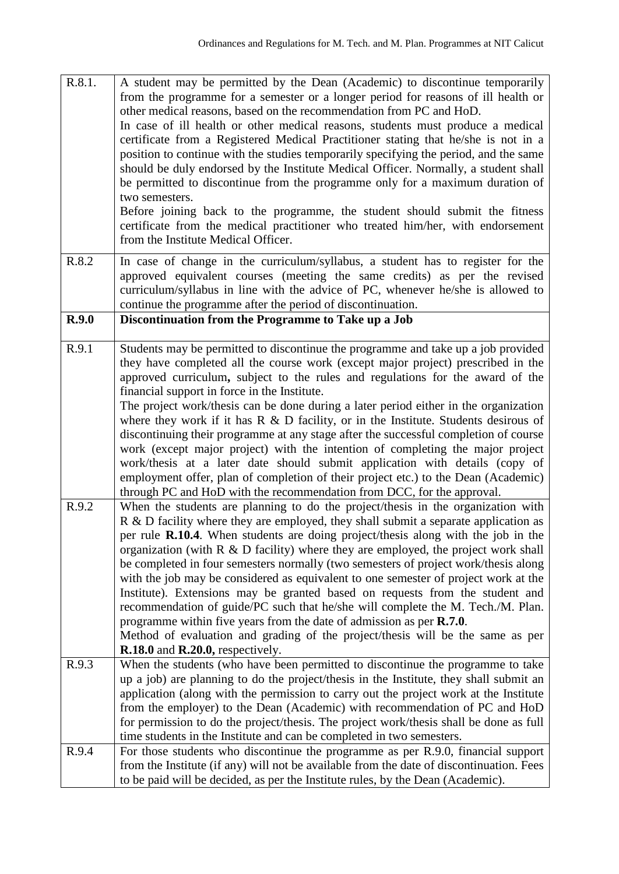| R.8.1. | A student may be permitted by the Dean (Academic) to discontinue temporarily<br>from the programme for a semester or a longer period for reasons of ill health or<br>other medical reasons, based on the recommendation from PC and HoD.<br>In case of ill health or other medical reasons, students must produce a medical<br>certificate from a Registered Medical Practitioner stating that he/she is not in a<br>position to continue with the studies temporarily specifying the period, and the same<br>should be duly endorsed by the Institute Medical Officer. Normally, a student shall<br>be permitted to discontinue from the programme only for a maximum duration of<br>two semesters.<br>Before joining back to the programme, the student should submit the fitness<br>certificate from the medical practitioner who treated him/her, with endorsement<br>from the Institute Medical Officer.         |
|--------|-----------------------------------------------------------------------------------------------------------------------------------------------------------------------------------------------------------------------------------------------------------------------------------------------------------------------------------------------------------------------------------------------------------------------------------------------------------------------------------------------------------------------------------------------------------------------------------------------------------------------------------------------------------------------------------------------------------------------------------------------------------------------------------------------------------------------------------------------------------------------------------------------------------------------|
| R.8.2  | In case of change in the curriculum/syllabus, a student has to register for the<br>approved equivalent courses (meeting the same credits) as per the revised<br>curriculum/syllabus in line with the advice of PC, whenever he/she is allowed to<br>continue the programme after the period of discontinuation.                                                                                                                                                                                                                                                                                                                                                                                                                                                                                                                                                                                                       |
| R.9.0  | Discontinuation from the Programme to Take up a Job                                                                                                                                                                                                                                                                                                                                                                                                                                                                                                                                                                                                                                                                                                                                                                                                                                                                   |
| R.9.1  | Students may be permitted to discontinue the programme and take up a job provided<br>they have completed all the course work (except major project) prescribed in the<br>approved curriculum, subject to the rules and regulations for the award of the<br>financial support in force in the Institute.<br>The project work/thesis can be done during a later period either in the organization<br>where they work if it has $R \& D$ facility, or in the Institute. Students desirous of<br>discontinuing their programme at any stage after the successful completion of course<br>work (except major project) with the intention of completing the major project<br>work/thesis at a later date should submit application with details (copy of<br>employment offer, plan of completion of their project etc.) to the Dean (Academic)<br>through PC and HoD with the recommendation from DCC, for the approval.    |
| R.9.2  | When the students are planning to do the project/thesis in the organization with<br>R & D facility where they are employed, they shall submit a separate application as<br>per rule R.10.4. When students are doing project/thesis along with the job in the<br>organization (with $R \& D$ facility) where they are employed, the project work shall<br>be completed in four semesters normally (two semesters of project work/thesis along<br>with the job may be considered as equivalent to one semester of project work at the<br>Institute). Extensions may be granted based on requests from the student and<br>recommendation of guide/PC such that he/she will complete the M. Tech./M. Plan.<br>programme within five years from the date of admission as per $\mathbb{R}$ .7.0.<br>Method of evaluation and grading of the project/thesis will be the same as per<br>$R.18.0$ and $R.20.0$ , respectively. |
| R.9.3  | When the students (who have been permitted to discontinue the programme to take<br>up a job) are planning to do the project/thesis in the Institute, they shall submit an<br>application (along with the permission to carry out the project work at the Institute<br>from the employer) to the Dean (Academic) with recommendation of PC and HoD<br>for permission to do the project/thesis. The project work/thesis shall be done as full<br>time students in the Institute and can be completed in two semesters.                                                                                                                                                                                                                                                                                                                                                                                                  |
| R.9.4  | For those students who discontinue the programme as per R.9.0, financial support<br>from the Institute (if any) will not be available from the date of discontinuation. Fees<br>to be paid will be decided, as per the Institute rules, by the Dean (Academic).                                                                                                                                                                                                                                                                                                                                                                                                                                                                                                                                                                                                                                                       |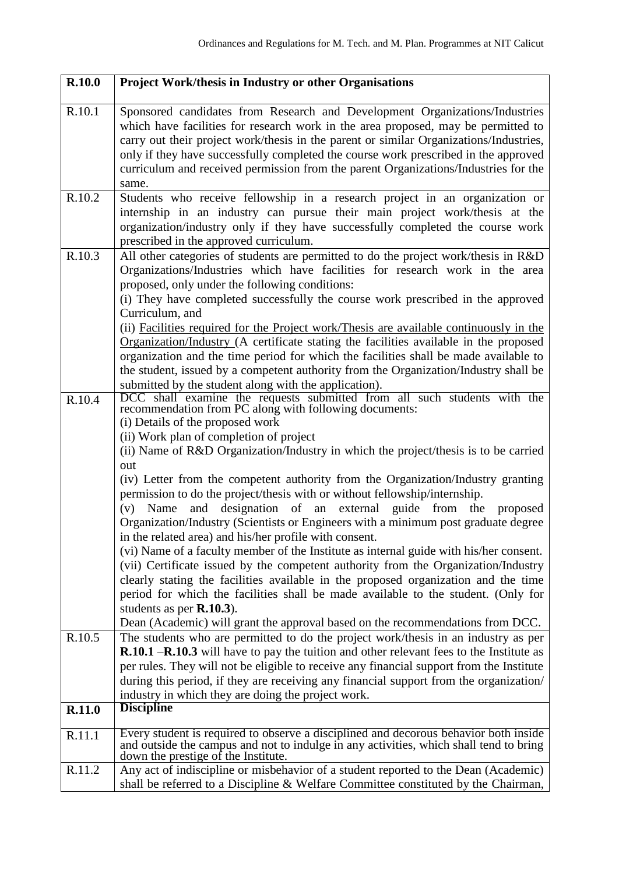| R.10.0 | Project Work/thesis in Industry or other Organisations                                                                                                                                                                                                                                                                                                                                                                                                                                                                                                                                                                                                                                                                                                                                                                                                                                                                                                                                                                                                                                                                                                                                       |
|--------|----------------------------------------------------------------------------------------------------------------------------------------------------------------------------------------------------------------------------------------------------------------------------------------------------------------------------------------------------------------------------------------------------------------------------------------------------------------------------------------------------------------------------------------------------------------------------------------------------------------------------------------------------------------------------------------------------------------------------------------------------------------------------------------------------------------------------------------------------------------------------------------------------------------------------------------------------------------------------------------------------------------------------------------------------------------------------------------------------------------------------------------------------------------------------------------------|
| R.10.1 | Sponsored candidates from Research and Development Organizations/Industries<br>which have facilities for research work in the area proposed, may be permitted to<br>carry out their project work/thesis in the parent or similar Organizations/Industries,<br>only if they have successfully completed the course work prescribed in the approved<br>curriculum and received permission from the parent Organizations/Industries for the<br>same.                                                                                                                                                                                                                                                                                                                                                                                                                                                                                                                                                                                                                                                                                                                                            |
| R.10.2 | Students who receive fellowship in a research project in an organization or<br>internship in an industry can pursue their main project work/thesis at the<br>organization/industry only if they have successfully completed the course work<br>prescribed in the approved curriculum.                                                                                                                                                                                                                                                                                                                                                                                                                                                                                                                                                                                                                                                                                                                                                                                                                                                                                                        |
| R.10.3 | All other categories of students are permitted to do the project work/thesis in R&D<br>Organizations/Industries which have facilities for research work in the area<br>proposed, only under the following conditions:<br>(i) They have completed successfully the course work prescribed in the approved<br>Curriculum, and<br>(ii) Facilities required for the Project work/Thesis are available continuously in the<br>Organization/Industry (A certificate stating the facilities available in the proposed<br>organization and the time period for which the facilities shall be made available to<br>the student, issued by a competent authority from the Organization/Industry shall be<br>submitted by the student along with the application).                                                                                                                                                                                                                                                                                                                                                                                                                                      |
| R.10.4 | DCC shall examine the requests submitted from all such students with the<br>recommendation from PC along with following documents:<br>(i) Details of the proposed work<br>(ii) Work plan of completion of project<br>(ii) Name of R&D Organization/Industry in which the project/thesis is to be carried<br>out<br>(iv) Letter from the competent authority from the Organization/Industry granting<br>permission to do the project/thesis with or without fellowship/internship.<br>designation of an external<br>guide from the proposed<br>and<br>(v)<br>Name<br>Organization/Industry (Scientists or Engineers with a minimum post graduate degree<br>in the related area) and his/her profile with consent.<br>(vi) Name of a faculty member of the Institute as internal guide with his/her consent.<br>(vii) Certificate issued by the competent authority from the Organization/Industry<br>clearly stating the facilities available in the proposed organization and the time<br>period for which the facilities shall be made available to the student. (Only for<br>students as per $R.10.3$ ).<br>Dean (Academic) will grant the approval based on the recommendations from DCC. |
| R.10.5 | The students who are permitted to do the project work/thesis in an industry as per<br><b>R.10.1 -R.10.3</b> will have to pay the tuition and other relevant fees to the Institute as<br>per rules. They will not be eligible to receive any financial support from the Institute<br>during this period, if they are receiving any financial support from the organization/<br>industry in which they are doing the project work.                                                                                                                                                                                                                                                                                                                                                                                                                                                                                                                                                                                                                                                                                                                                                             |
| R.11.0 | <b>Discipline</b>                                                                                                                                                                                                                                                                                                                                                                                                                                                                                                                                                                                                                                                                                                                                                                                                                                                                                                                                                                                                                                                                                                                                                                            |
| R.11.1 | Every student is required to observe a disciplined and decorous behavior both inside<br>and outside the campus and not to indulge in any activities, which shall tend to bring<br>down the prestige of the Institute.                                                                                                                                                                                                                                                                                                                                                                                                                                                                                                                                                                                                                                                                                                                                                                                                                                                                                                                                                                        |
| R.11.2 | Any act of indiscipline or misbehavior of a student reported to the Dean (Academic)<br>shall be referred to a Discipline & Welfare Committee constituted by the Chairman,                                                                                                                                                                                                                                                                                                                                                                                                                                                                                                                                                                                                                                                                                                                                                                                                                                                                                                                                                                                                                    |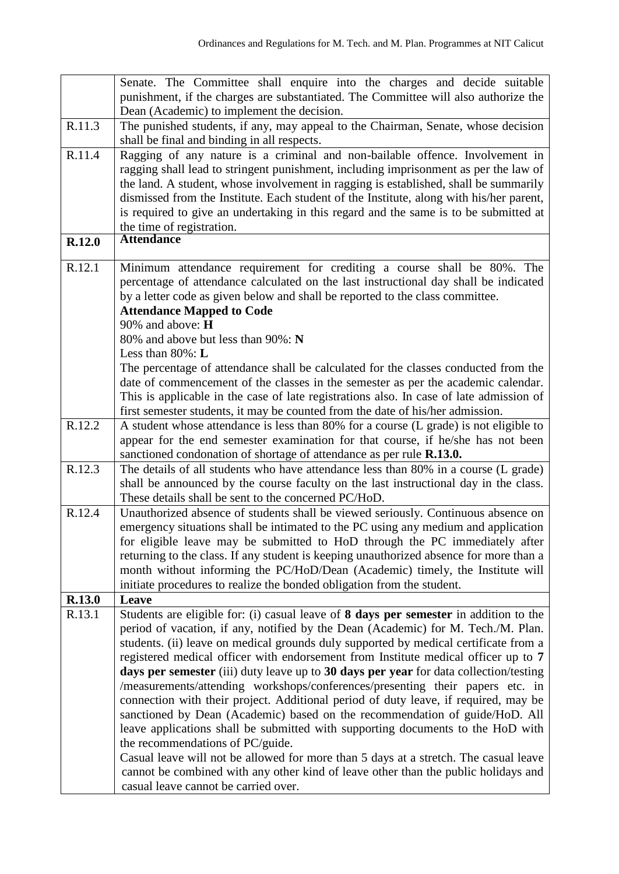|        | Senate. The Committee shall enquire into the charges and decide suitable                                                                                                    |
|--------|-----------------------------------------------------------------------------------------------------------------------------------------------------------------------------|
|        | punishment, if the charges are substantiated. The Committee will also authorize the                                                                                         |
|        | Dean (Academic) to implement the decision.                                                                                                                                  |
| R.11.3 | The punished students, if any, may appeal to the Chairman, Senate, whose decision<br>shall be final and binding in all respects.                                            |
| R.11.4 | Ragging of any nature is a criminal and non-bailable offence. Involvement in                                                                                                |
|        | ragging shall lead to stringent punishment, including imprisonment as per the law of                                                                                        |
|        | the land. A student, whose involvement in ragging is established, shall be summarily                                                                                        |
|        | dismissed from the Institute. Each student of the Institute, along with his/her parent,                                                                                     |
|        | is required to give an undertaking in this regard and the same is to be submitted at                                                                                        |
|        | the time of registration.                                                                                                                                                   |
| R.12.0 | <b>Attendance</b>                                                                                                                                                           |
| R.12.1 | Minimum attendance requirement for crediting a course shall be 80%. The                                                                                                     |
|        | percentage of attendance calculated on the last instructional day shall be indicated                                                                                        |
|        | by a letter code as given below and shall be reported to the class committee.                                                                                               |
|        | <b>Attendance Mapped to Code</b>                                                                                                                                            |
|        | 90% and above: H                                                                                                                                                            |
|        | 80% and above but less than 90%: N                                                                                                                                          |
|        | Less than $80\%$ : L                                                                                                                                                        |
|        | The percentage of attendance shall be calculated for the classes conducted from the                                                                                         |
|        | date of commencement of the classes in the semester as per the academic calendar.                                                                                           |
|        | This is applicable in the case of late registrations also. In case of late admission of                                                                                     |
|        | first semester students, it may be counted from the date of his/her admission.                                                                                              |
| R.12.2 | A student whose attendance is less than 80% for a course (L grade) is not eligible to                                                                                       |
|        | appear for the end semester examination for that course, if he/she has not been                                                                                             |
| R.12.3 | sanctioned condonation of shortage of attendance as per rule R.13.0.                                                                                                        |
|        | The details of all students who have attendance less than 80% in a course (L grade)<br>shall be announced by the course faculty on the last instructional day in the class. |
|        | These details shall be sent to the concerned PC/HoD.                                                                                                                        |
| R.12.4 | Unauthorized absence of students shall be viewed seriously. Continuous absence on                                                                                           |
|        | emergency situations shall be intimated to the PC using any medium and application                                                                                          |
|        | for eligible leave may be submitted to HoD through the PC immediately after                                                                                                 |
|        | returning to the class. If any student is keeping unauthorized absence for more than a                                                                                      |
|        | month without informing the PC/HoD/Dean (Academic) timely, the Institute will                                                                                               |
|        | initiate procedures to realize the bonded obligation from the student.                                                                                                      |
| R.13.0 | Leave                                                                                                                                                                       |
| R.13.1 | Students are eligible for: (i) casual leave of 8 days per semester in addition to the                                                                                       |
|        | period of vacation, if any, notified by the Dean (Academic) for M. Tech./M. Plan.                                                                                           |
|        | students. (ii) leave on medical grounds duly supported by medical certificate from a                                                                                        |
|        | registered medical officer with endorsement from Institute medical officer up to 7                                                                                          |
|        | days per semester (iii) duty leave up to 30 days per year for data collection/testing                                                                                       |
|        | /measurements/attending workshops/conferences/presenting their papers etc. in                                                                                               |
|        | connection with their project. Additional period of duty leave, if required, may be                                                                                         |
|        | sanctioned by Dean (Academic) based on the recommendation of guide/HoD. All                                                                                                 |
|        | leave applications shall be submitted with supporting documents to the HoD with                                                                                             |
|        | the recommendations of PC/guide.                                                                                                                                            |
|        | Casual leave will not be allowed for more than 5 days at a stretch. The casual leave                                                                                        |
|        | cannot be combined with any other kind of leave other than the public holidays and                                                                                          |
|        | casual leave cannot be carried over.                                                                                                                                        |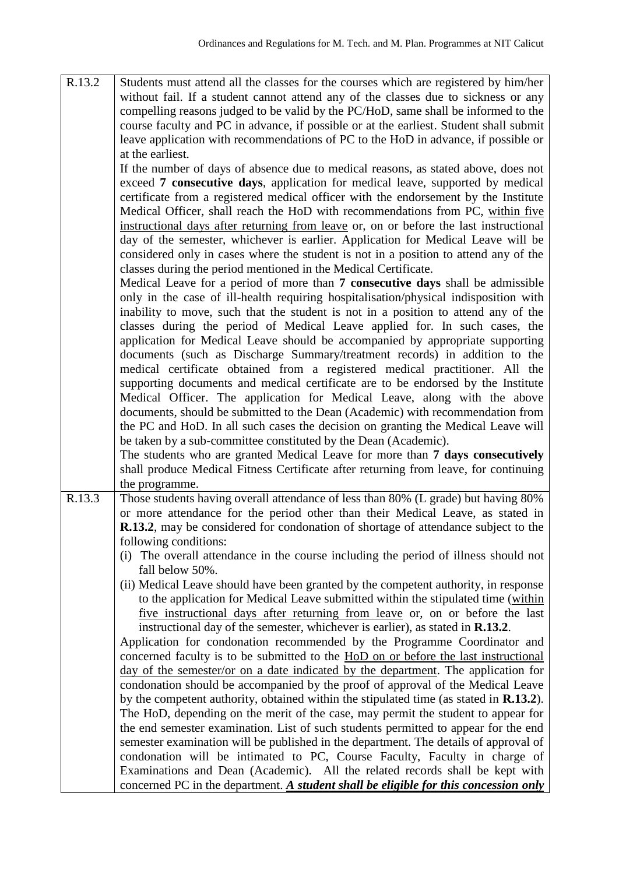| R.13.2 | Students must attend all the classes for the courses which are registered by him/her<br>without fail. If a student cannot attend any of the classes due to sickness or any<br>compelling reasons judged to be valid by the PC/HoD, same shall be informed to the<br>course faculty and PC in advance, if possible or at the earliest. Student shall submit<br>leave application with recommendations of PC to the HoD in advance, if possible or<br>at the earliest.                                                                                                                                                                                                                                                                                                                                                                                            |
|--------|-----------------------------------------------------------------------------------------------------------------------------------------------------------------------------------------------------------------------------------------------------------------------------------------------------------------------------------------------------------------------------------------------------------------------------------------------------------------------------------------------------------------------------------------------------------------------------------------------------------------------------------------------------------------------------------------------------------------------------------------------------------------------------------------------------------------------------------------------------------------|
|        | If the number of days of absence due to medical reasons, as stated above, does not<br>exceed 7 consecutive days, application for medical leave, supported by medical<br>certificate from a registered medical officer with the endorsement by the Institute<br>Medical Officer, shall reach the HoD with recommendations from PC, within five<br>instructional days after returning from leave or, on or before the last instructional<br>day of the semester, whichever is earlier. Application for Medical Leave will be<br>considered only in cases where the student is not in a position to attend any of the<br>classes during the period mentioned in the Medical Certificate.<br>Medical Leave for a period of more than 7 consecutive days shall be admissible<br>only in the case of ill-health requiring hospitalisation/physical indisposition with |
|        | inability to move, such that the student is not in a position to attend any of the<br>classes during the period of Medical Leave applied for. In such cases, the<br>application for Medical Leave should be accompanied by appropriate supporting<br>documents (such as Discharge Summary/treatment records) in addition to the<br>medical certificate obtained from a registered medical practitioner. All the<br>supporting documents and medical certificate are to be endorsed by the Institute<br>Medical Officer. The application for Medical Leave, along with the above<br>documents, should be submitted to the Dean (Academic) with recommendation from<br>the PC and HoD. In all such cases the decision on granting the Medical Leave will<br>be taken by a sub-committee constituted by the Dean (Academic).                                       |
|        | The students who are granted Medical Leave for more than 7 days consecutively<br>shall produce Medical Fitness Certificate after returning from leave, for continuing<br>the programme.                                                                                                                                                                                                                                                                                                                                                                                                                                                                                                                                                                                                                                                                         |
| R.13.3 | Those students having overall attendance of less than 80% (L grade) but having 80%<br>or more attendance for the period other than their Medical Leave, as stated in<br>R.13.2, may be considered for condonation of shortage of attendance subject to the<br>following conditions:<br>(i) The overall attendance in the course including the period of illness should not                                                                                                                                                                                                                                                                                                                                                                                                                                                                                      |
|        | fall below 50%.<br>(ii) Medical Leave should have been granted by the competent authority, in response<br>to the application for Medical Leave submitted within the stipulated time (within<br>five instructional days after returning from leave or, on or before the last<br>instructional day of the semester, whichever is earlier), as stated in R.13.2.<br>Application for condonation recommended by the Programme Coordinator and<br>concerned faculty is to be submitted to the HoD on or before the last instructional<br>day of the semester/or on a date indicated by the department. The application for                                                                                                                                                                                                                                           |
|        | condonation should be accompanied by the proof of approval of the Medical Leave<br>by the competent authority, obtained within the stipulated time (as stated in R.13.2).<br>The HoD, depending on the merit of the case, may permit the student to appear for<br>the end semester examination. List of such students permitted to appear for the end<br>semester examination will be published in the department. The details of approval of<br>condonation will be intimated to PC, Course Faculty, Faculty in charge of<br>Examinations and Dean (Academic). All the related records shall be kept with<br>concerned PC in the department. A student shall be eligible for this concession only                                                                                                                                                              |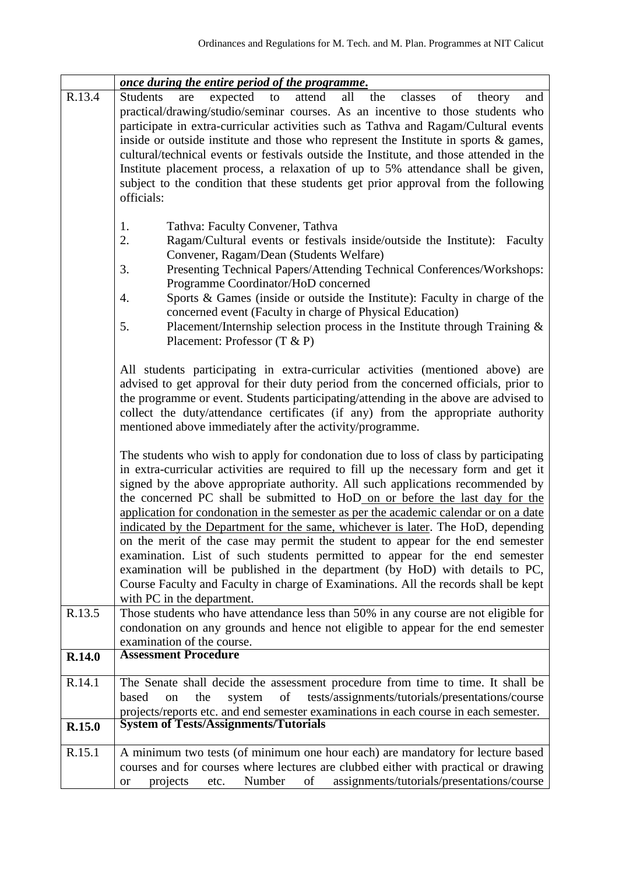|        | <u>once during the entire period of the programme.</u>                                                                                                                                                                                                                                                                                                                                                                                                                                                                                                                                                                                                                                                                                                                                                                                                                                             |
|--------|----------------------------------------------------------------------------------------------------------------------------------------------------------------------------------------------------------------------------------------------------------------------------------------------------------------------------------------------------------------------------------------------------------------------------------------------------------------------------------------------------------------------------------------------------------------------------------------------------------------------------------------------------------------------------------------------------------------------------------------------------------------------------------------------------------------------------------------------------------------------------------------------------|
| R.13.4 | <b>Students</b><br>expected<br>attend<br>all<br>the<br>classes<br>of<br>theory<br>to<br>and<br>are<br>practical/drawing/studio/seminar courses. As an incentive to those students who<br>participate in extra-curricular activities such as Tathva and Ragam/Cultural events<br>inside or outside institute and those who represent the Institute in sports $\&$ games,<br>cultural/technical events or festivals outside the Institute, and those attended in the<br>Institute placement process, a relaxation of up to 5% attendance shall be given,<br>subject to the condition that these students get prior approval from the following<br>officials:                                                                                                                                                                                                                                         |
|        | 1.<br>Tathva: Faculty Convener, Tathva<br>2.<br>Ragam/Cultural events or festivals inside/outside the Institute): Faculty<br>Convener, Ragam/Dean (Students Welfare)<br>3.<br>Presenting Technical Papers/Attending Technical Conferences/Workshops:<br>Programme Coordinator/HoD concerned<br>Sports & Games (inside or outside the Institute): Faculty in charge of the<br>4.<br>concerned event (Faculty in charge of Physical Education)<br>5.<br>Placement/Internship selection process in the Institute through Training $\&$<br>Placement: Professor (T & P)                                                                                                                                                                                                                                                                                                                                |
|        | All students participating in extra-curricular activities (mentioned above) are<br>advised to get approval for their duty period from the concerned officials, prior to<br>the programme or event. Students participating/attending in the above are advised to<br>collect the duty/attendance certificates (if any) from the appropriate authority<br>mentioned above immediately after the activity/programme.                                                                                                                                                                                                                                                                                                                                                                                                                                                                                   |
|        | The students who wish to apply for condonation due to loss of class by participating<br>in extra-curricular activities are required to fill up the necessary form and get it<br>signed by the above appropriate authority. All such applications recommended by<br>the concerned PC shall be submitted to HoD on or before the last day for the<br>application for condonation in the semester as per the academic calendar or on a date<br>indicated by the Department for the same, whichever is later. The HoD, depending<br>on the merit of the case may permit the student to appear for the end semester<br>examination. List of such students permitted to appear for the end semester<br>examination will be published in the department (by HoD) with details to PC,<br>Course Faculty and Faculty in charge of Examinations. All the records shall be kept<br>with PC in the department. |
| R.13.5 | Those students who have attendance less than 50% in any course are not eligible for<br>condonation on any grounds and hence not eligible to appear for the end semester<br>examination of the course.                                                                                                                                                                                                                                                                                                                                                                                                                                                                                                                                                                                                                                                                                              |
| R.14.0 | <b>Assessment Procedure</b>                                                                                                                                                                                                                                                                                                                                                                                                                                                                                                                                                                                                                                                                                                                                                                                                                                                                        |
| R.14.1 | The Senate shall decide the assessment procedure from time to time. It shall be<br>of<br>tests/assignments/tutorials/presentations/course<br>based<br>the<br>system<br>on<br>projects/reports etc. and end semester examinations in each course in each semester.                                                                                                                                                                                                                                                                                                                                                                                                                                                                                                                                                                                                                                  |
| R.15.0 | <b>System of Tests/Assignments/Tutorials</b>                                                                                                                                                                                                                                                                                                                                                                                                                                                                                                                                                                                                                                                                                                                                                                                                                                                       |
| R.15.1 | A minimum two tests (of minimum one hour each) are mandatory for lecture based<br>courses and for courses where lectures are clubbed either with practical or drawing<br>assignments/tutorials/presentations/course<br>Number<br>of<br>projects<br>etc.<br><b>or</b>                                                                                                                                                                                                                                                                                                                                                                                                                                                                                                                                                                                                                               |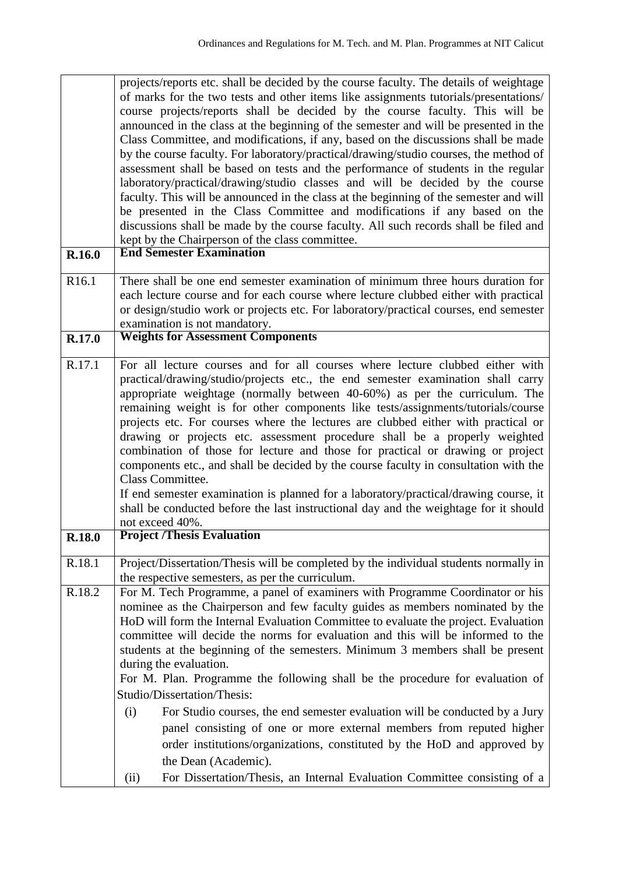|                   | projects/reports etc. shall be decided by the course faculty. The details of weightage<br>of marks for the two tests and other items like assignments tutorials/presentations/<br>course projects/reports shall be decided by the course faculty. This will be<br>announced in the class at the beginning of the semester and will be presented in the<br>Class Committee, and modifications, if any, based on the discussions shall be made<br>by the course faculty. For laboratory/practical/drawing/studio courses, the method of<br>assessment shall be based on tests and the performance of students in the regular<br>laboratory/practical/drawing/studio classes and will be decided by the course<br>faculty. This will be announced in the class at the beginning of the semester and will<br>be presented in the Class Committee and modifications if any based on the<br>discussions shall be made by the course faculty. All such records shall be filed and<br>kept by the Chairperson of the class committee. |
|-------------------|-------------------------------------------------------------------------------------------------------------------------------------------------------------------------------------------------------------------------------------------------------------------------------------------------------------------------------------------------------------------------------------------------------------------------------------------------------------------------------------------------------------------------------------------------------------------------------------------------------------------------------------------------------------------------------------------------------------------------------------------------------------------------------------------------------------------------------------------------------------------------------------------------------------------------------------------------------------------------------------------------------------------------------|
| R.16.0            | <b>End Semester Examination</b>                                                                                                                                                                                                                                                                                                                                                                                                                                                                                                                                                                                                                                                                                                                                                                                                                                                                                                                                                                                               |
| R <sub>16.1</sub> | There shall be one end semester examination of minimum three hours duration for<br>each lecture course and for each course where lecture clubbed either with practical<br>or design/studio work or projects etc. For laboratory/practical courses, end semester<br>examination is not mandatory.                                                                                                                                                                                                                                                                                                                                                                                                                                                                                                                                                                                                                                                                                                                              |
| R.17.0            | <b>Weights for Assessment Components</b>                                                                                                                                                                                                                                                                                                                                                                                                                                                                                                                                                                                                                                                                                                                                                                                                                                                                                                                                                                                      |
| R.17.1            | For all lecture courses and for all courses where lecture clubbed either with<br>practical/drawing/studio/projects etc., the end semester examination shall carry<br>appropriate weightage (normally between 40-60%) as per the curriculum. The<br>remaining weight is for other components like tests/assignments/tutorials/course<br>projects etc. For courses where the lectures are clubbed either with practical or<br>drawing or projects etc. assessment procedure shall be a properly weighted<br>combination of those for lecture and those for practical or drawing or project<br>components etc., and shall be decided by the course faculty in consultation with the<br>Class Committee.<br>If end semester examination is planned for a laboratory/practical/drawing course, it<br>shall be conducted before the last instructional day and the weightage for it should<br>not exceed 40%.                                                                                                                       |
| <b>R.18.0</b>     | <b>Project /Thesis Evaluation</b>                                                                                                                                                                                                                                                                                                                                                                                                                                                                                                                                                                                                                                                                                                                                                                                                                                                                                                                                                                                             |
| R.18.1            | Project/Dissertation/Thesis will be completed by the individual students normally in<br>the respective semesters, as per the curriculum.                                                                                                                                                                                                                                                                                                                                                                                                                                                                                                                                                                                                                                                                                                                                                                                                                                                                                      |
| R.18.2            | For M. Tech Programme, a panel of examiners with Programme Coordinator or his<br>nominee as the Chairperson and few faculty guides as members nominated by the<br>HoD will form the Internal Evaluation Committee to evaluate the project. Evaluation<br>committee will decide the norms for evaluation and this will be informed to the<br>students at the beginning of the semesters. Minimum 3 members shall be present<br>during the evaluation.<br>For M. Plan. Programme the following shall be the procedure for evaluation of<br>Studio/Dissertation/Thesis:<br>For Studio courses, the end semester evaluation will be conducted by a Jury<br>(i)<br>panel consisting of one or more external members from reputed higher<br>order institutions/organizations, constituted by the HoD and approved by<br>the Dean (Academic).                                                                                                                                                                                        |
|                   | For Dissertation/Thesis, an Internal Evaluation Committee consisting of a<br>(ii)                                                                                                                                                                                                                                                                                                                                                                                                                                                                                                                                                                                                                                                                                                                                                                                                                                                                                                                                             |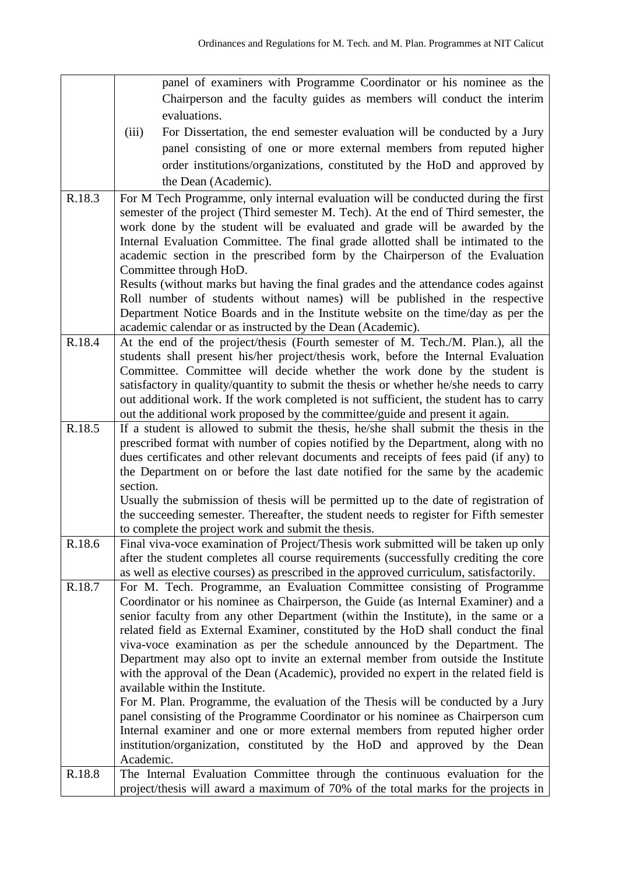|        | panel of examiners with Programme Coordinator or his nominee as the                                                                                               |
|--------|-------------------------------------------------------------------------------------------------------------------------------------------------------------------|
|        | Chairperson and the faculty guides as members will conduct the interim                                                                                            |
|        | evaluations.                                                                                                                                                      |
|        | (iii)<br>For Dissertation, the end semester evaluation will be conducted by a Jury                                                                                |
|        | panel consisting of one or more external members from reputed higher                                                                                              |
|        | order institutions/organizations, constituted by the HoD and approved by                                                                                          |
|        |                                                                                                                                                                   |
|        | the Dean (Academic).                                                                                                                                              |
| R.18.3 | For M Tech Programme, only internal evaluation will be conducted during the first                                                                                 |
|        | semester of the project (Third semester M. Tech). At the end of Third semester, the                                                                               |
|        | work done by the student will be evaluated and grade will be awarded by the                                                                                       |
|        | Internal Evaluation Committee. The final grade allotted shall be intimated to the<br>academic section in the prescribed form by the Chairperson of the Evaluation |
|        | Committee through HoD.                                                                                                                                            |
|        | Results (without marks but having the final grades and the attendance codes against                                                                               |
|        | Roll number of students without names) will be published in the respective                                                                                        |
|        | Department Notice Boards and in the Institute website on the time/day as per the                                                                                  |
|        | academic calendar or as instructed by the Dean (Academic).                                                                                                        |
| R.18.4 | At the end of the project/thesis (Fourth semester of M. Tech./M. Plan.), all the                                                                                  |
|        | students shall present his/her project/thesis work, before the Internal Evaluation                                                                                |
|        | Committee. Committee will decide whether the work done by the student is                                                                                          |
|        | satisfactory in quality/quantity to submit the thesis or whether he/she needs to carry                                                                            |
|        | out additional work. If the work completed is not sufficient, the student has to carry                                                                            |
|        | out the additional work proposed by the committee/guide and present it again.                                                                                     |
| R.18.5 | If a student is allowed to submit the thesis, he/she shall submit the thesis in the                                                                               |
|        | prescribed format with number of copies notified by the Department, along with no                                                                                 |
|        | dues certificates and other relevant documents and receipts of fees paid (if any) to                                                                              |
|        | the Department on or before the last date notified for the same by the academic                                                                                   |
|        | section.                                                                                                                                                          |
|        | Usually the submission of thesis will be permitted up to the date of registration of                                                                              |
|        | the succeeding semester. Thereafter, the student needs to register for Fifth semester                                                                             |
|        | to complete the project work and submit the thesis.                                                                                                               |
| R.18.6 | Final viva-voce examination of Project/Thesis work submitted will be taken up only                                                                                |
|        | after the student completes all course requirements (successfully crediting the core                                                                              |
|        | as well as elective courses) as prescribed in the approved curriculum, satisfactorily.                                                                            |
| R.18.7 | For M. Tech. Programme, an Evaluation Committee consisting of Programme                                                                                           |
|        | Coordinator or his nominee as Chairperson, the Guide (as Internal Examiner) and a                                                                                 |
|        | senior faculty from any other Department (within the Institute), in the same or a                                                                                 |
|        | related field as External Examiner, constituted by the HoD shall conduct the final<br>viva-voce examination as per the schedule announced by the Department. The  |
|        | Department may also opt to invite an external member from outside the Institute                                                                                   |
|        | with the approval of the Dean (Academic), provided no expert in the related field is                                                                              |
|        | available within the Institute.                                                                                                                                   |
|        | For M. Plan. Programme, the evaluation of the Thesis will be conducted by a Jury                                                                                  |
|        | panel consisting of the Programme Coordinator or his nominee as Chairperson cum                                                                                   |
|        | Internal examiner and one or more external members from reputed higher order                                                                                      |
|        | institution/organization, constituted by the HoD and approved by the Dean                                                                                         |
|        | Academic.                                                                                                                                                         |
| R.18.8 | The Internal Evaluation Committee through the continuous evaluation for the                                                                                       |
|        | project/thesis will award a maximum of 70% of the total marks for the projects in                                                                                 |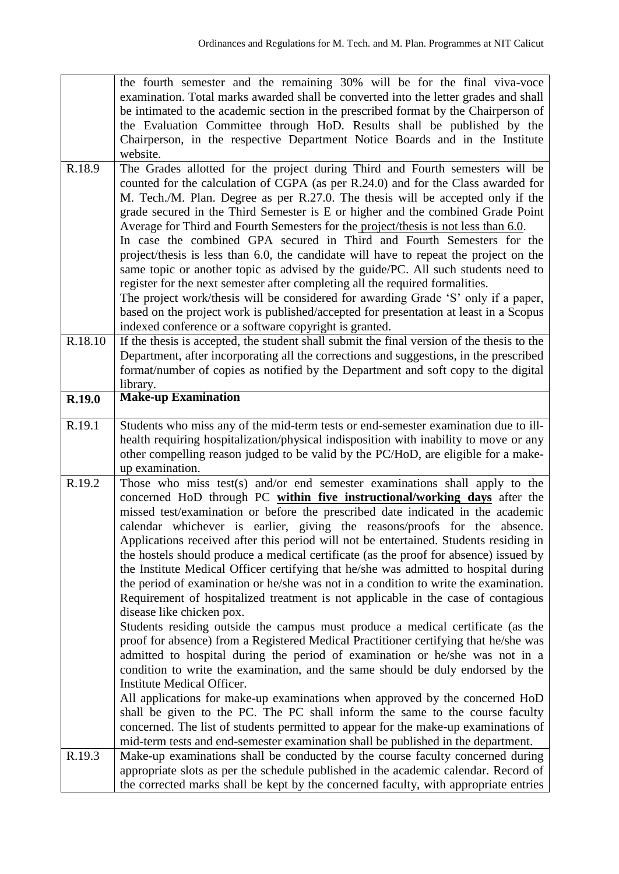|         | the fourth semester and the remaining 30% will be for the final viva-voce<br>examination. Total marks awarded shall be converted into the letter grades and shall<br>be intimated to the academic section in the prescribed format by the Chairperson of<br>the Evaluation Committee through HoD. Results shall be published by the<br>Chairperson, in the respective Department Notice Boards and in the Institute                                                                                                                                                                                                                                                                                                                                                                                                                                                                                                                                                                                                                                                                                                                                                                                                                                                                                                                                                                                                                            |
|---------|------------------------------------------------------------------------------------------------------------------------------------------------------------------------------------------------------------------------------------------------------------------------------------------------------------------------------------------------------------------------------------------------------------------------------------------------------------------------------------------------------------------------------------------------------------------------------------------------------------------------------------------------------------------------------------------------------------------------------------------------------------------------------------------------------------------------------------------------------------------------------------------------------------------------------------------------------------------------------------------------------------------------------------------------------------------------------------------------------------------------------------------------------------------------------------------------------------------------------------------------------------------------------------------------------------------------------------------------------------------------------------------------------------------------------------------------|
|         | website.                                                                                                                                                                                                                                                                                                                                                                                                                                                                                                                                                                                                                                                                                                                                                                                                                                                                                                                                                                                                                                                                                                                                                                                                                                                                                                                                                                                                                                       |
| R.18.9  | The Grades allotted for the project during Third and Fourth semesters will be<br>counted for the calculation of CGPA (as per R.24.0) and for the Class awarded for<br>M. Tech./M. Plan. Degree as per R.27.0. The thesis will be accepted only if the<br>grade secured in the Third Semester is E or higher and the combined Grade Point<br>Average for Third and Fourth Semesters for the project/thesis is not less than 6.0.<br>In case the combined GPA secured in Third and Fourth Semesters for the<br>project/thesis is less than 6.0, the candidate will have to repeat the project on the<br>same topic or another topic as advised by the guide/PC. All such students need to<br>register for the next semester after completing all the required formalities.<br>The project work/thesis will be considered for awarding Grade 'S' only if a paper,<br>based on the project work is published/accepted for presentation at least in a Scopus<br>indexed conference or a software copyright is granted.                                                                                                                                                                                                                                                                                                                                                                                                                              |
| R.18.10 | If the thesis is accepted, the student shall submit the final version of the thesis to the<br>Department, after incorporating all the corrections and suggestions, in the prescribed<br>format/number of copies as notified by the Department and soft copy to the digital<br>library.                                                                                                                                                                                                                                                                                                                                                                                                                                                                                                                                                                                                                                                                                                                                                                                                                                                                                                                                                                                                                                                                                                                                                         |
| R.19.0  | <b>Make-up Examination</b>                                                                                                                                                                                                                                                                                                                                                                                                                                                                                                                                                                                                                                                                                                                                                                                                                                                                                                                                                                                                                                                                                                                                                                                                                                                                                                                                                                                                                     |
| R.19.1  | Students who miss any of the mid-term tests or end-semester examination due to ill-<br>health requiring hospitalization/physical indisposition with inability to move or any<br>other compelling reason judged to be valid by the PC/HoD, are eligible for a make-<br>up examination.                                                                                                                                                                                                                                                                                                                                                                                                                                                                                                                                                                                                                                                                                                                                                                                                                                                                                                                                                                                                                                                                                                                                                          |
| R.19.2  | Those who miss test(s) and/or end semester examinations shall apply to the<br>concerned HoD through PC within five instructional/working days after the<br>missed test/examination or before the prescribed date indicated in the academic<br>calendar whichever is earlier, giving the reasons/proofs for the absence.<br>Applications received after this period will not be entertained. Students residing in<br>the hostels should produce a medical certificate (as the proof for absence) issued by<br>the Institute Medical Officer certifying that he/she was admitted to hospital during<br>the period of examination or he/she was not in a condition to write the examination.<br>Requirement of hospitalized treatment is not applicable in the case of contagious<br>disease like chicken pox.<br>Students residing outside the campus must produce a medical certificate (as the<br>proof for absence) from a Registered Medical Practitioner certifying that he/she was<br>admitted to hospital during the period of examination or he/she was not in a<br>condition to write the examination, and the same should be duly endorsed by the<br>Institute Medical Officer.<br>All applications for make-up examinations when approved by the concerned HoD<br>shall be given to the PC. The PC shall inform the same to the course faculty<br>concerned. The list of students permitted to appear for the make-up examinations of |
| R.19.3  | mid-term tests and end-semester examination shall be published in the department.<br>Make-up examinations shall be conducted by the course faculty concerned during                                                                                                                                                                                                                                                                                                                                                                                                                                                                                                                                                                                                                                                                                                                                                                                                                                                                                                                                                                                                                                                                                                                                                                                                                                                                            |
|         | appropriate slots as per the schedule published in the academic calendar. Record of<br>the corrected marks shall be kept by the concerned faculty, with appropriate entries                                                                                                                                                                                                                                                                                                                                                                                                                                                                                                                                                                                                                                                                                                                                                                                                                                                                                                                                                                                                                                                                                                                                                                                                                                                                    |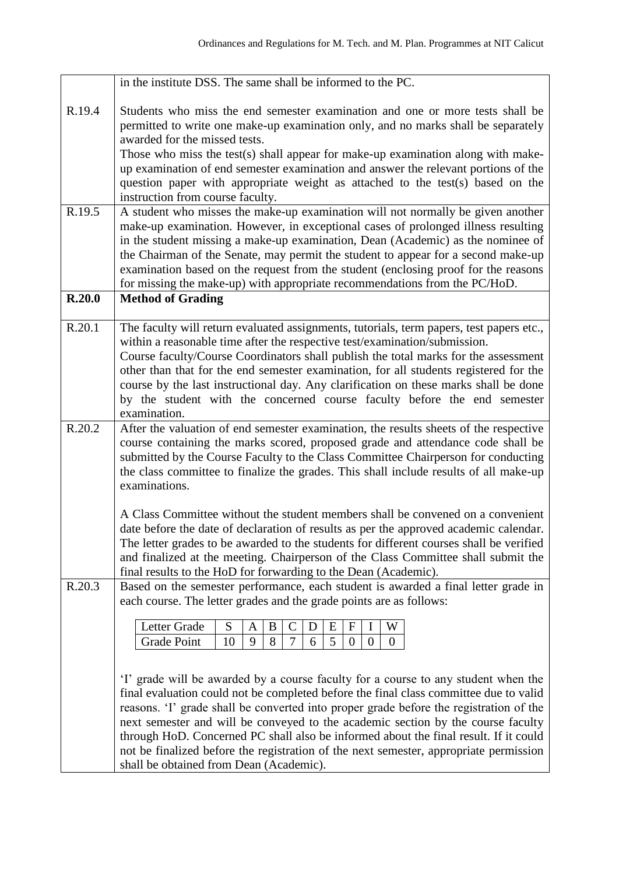|        | in the institute DSS. The same shall be informed to the PC.                                                                                                                                                                                                                                                                                                                                                                                                                                                                                                                         |
|--------|-------------------------------------------------------------------------------------------------------------------------------------------------------------------------------------------------------------------------------------------------------------------------------------------------------------------------------------------------------------------------------------------------------------------------------------------------------------------------------------------------------------------------------------------------------------------------------------|
| R.19.4 | Students who miss the end semester examination and one or more tests shall be<br>permitted to write one make-up examination only, and no marks shall be separately<br>awarded for the missed tests.<br>Those who miss the test(s) shall appear for make-up examination along with make-<br>up examination of end semester examination and answer the relevant portions of the<br>question paper with appropriate weight as attached to the test(s) based on the<br>instruction from course faculty.                                                                                 |
| R.19.5 | A student who misses the make-up examination will not normally be given another<br>make-up examination. However, in exceptional cases of prolonged illness resulting<br>in the student missing a make-up examination, Dean (Academic) as the nominee of<br>the Chairman of the Senate, may permit the student to appear for a second make-up<br>examination based on the request from the student (enclosing proof for the reasons<br>for missing the make-up) with appropriate recommendations from the PC/HoD.                                                                    |
| R.20.0 | <b>Method of Grading</b>                                                                                                                                                                                                                                                                                                                                                                                                                                                                                                                                                            |
| R.20.1 | The faculty will return evaluated assignments, tutorials, term papers, test papers etc.,<br>within a reasonable time after the respective test/examination/submission.<br>Course faculty/Course Coordinators shall publish the total marks for the assessment<br>other than that for the end semester examination, for all students registered for the<br>course by the last instructional day. Any clarification on these marks shall be done<br>by the student with the concerned course faculty before the end semester<br>examination.                                          |
| R.20.2 | After the valuation of end semester examination, the results sheets of the respective<br>course containing the marks scored, proposed grade and attendance code shall be<br>submitted by the Course Faculty to the Class Committee Chairperson for conducting<br>the class committee to finalize the grades. This shall include results of all make-up<br>examinations.                                                                                                                                                                                                             |
|        | A Class Committee without the student members shall be convened on a convenient<br>date before the date of declaration of results as per the approved academic calendar.<br>The letter grades to be awarded to the students for different courses shall be verified<br>and finalized at the meeting. Chairperson of the Class Committee shall submit the<br>final results to the HoD for forwarding to the Dean (Academic).                                                                                                                                                         |
| R.20.3 | Based on the semester performance, each student is awarded a final letter grade in<br>each course. The letter grades and the grade points are as follows:                                                                                                                                                                                                                                                                                                                                                                                                                           |
|        | Letter Grade<br>S<br>$\mathbf F$<br>W<br>B<br>E<br>C<br>D<br>A<br>8<br>9<br>5<br>Grade Point<br>10<br>7<br>6<br>$\mathbf{0}$<br>$\mathbf{0}$<br>$\theta$                                                                                                                                                                                                                                                                                                                                                                                                                            |
|        | 'I' grade will be awarded by a course faculty for a course to any student when the<br>final evaluation could not be completed before the final class committee due to valid<br>reasons. T grade shall be converted into proper grade before the registration of the<br>next semester and will be conveyed to the academic section by the course faculty<br>through HoD. Concerned PC shall also be informed about the final result. If it could<br>not be finalized before the registration of the next semester, appropriate permission<br>shall be obtained from Dean (Academic). |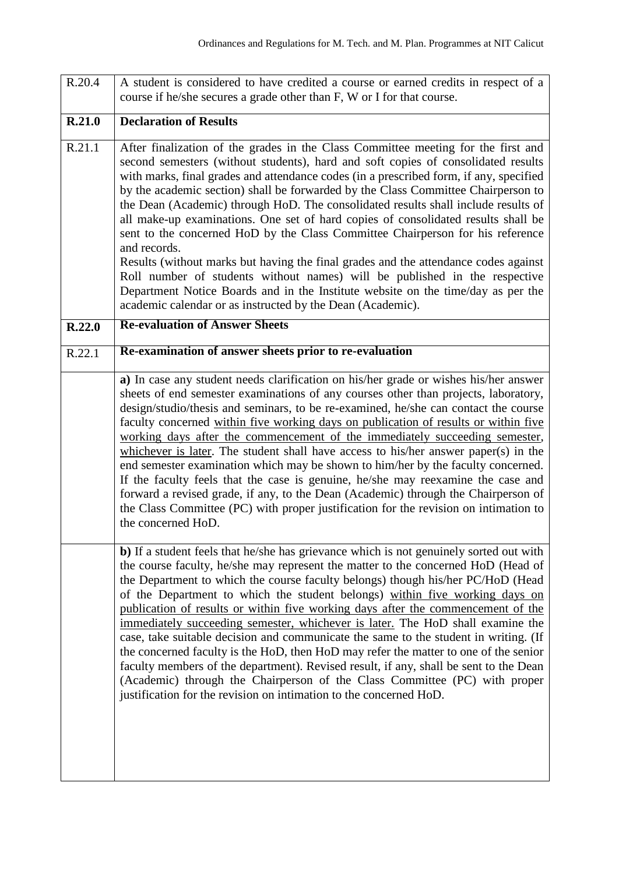| R.20.4 | A student is considered to have credited a course or earned credits in respect of a<br>course if he/she secures a grade other than F, W or I for that course.                                                                                                                                                                                                                                                                                                                                                                                                                                                                                                                                                                                                                                                                                                                                                                                             |
|--------|-----------------------------------------------------------------------------------------------------------------------------------------------------------------------------------------------------------------------------------------------------------------------------------------------------------------------------------------------------------------------------------------------------------------------------------------------------------------------------------------------------------------------------------------------------------------------------------------------------------------------------------------------------------------------------------------------------------------------------------------------------------------------------------------------------------------------------------------------------------------------------------------------------------------------------------------------------------|
| R.21.0 | <b>Declaration of Results</b>                                                                                                                                                                                                                                                                                                                                                                                                                                                                                                                                                                                                                                                                                                                                                                                                                                                                                                                             |
| R.21.1 | After finalization of the grades in the Class Committee meeting for the first and<br>second semesters (without students), hard and soft copies of consolidated results<br>with marks, final grades and attendance codes (in a prescribed form, if any, specified<br>by the academic section) shall be forwarded by the Class Committee Chairperson to<br>the Dean (Academic) through HoD. The consolidated results shall include results of<br>all make-up examinations. One set of hard copies of consolidated results shall be<br>sent to the concerned HoD by the Class Committee Chairperson for his reference<br>and records.<br>Results (without marks but having the final grades and the attendance codes against<br>Roll number of students without names) will be published in the respective<br>Department Notice Boards and in the Institute website on the time/day as per the<br>academic calendar or as instructed by the Dean (Academic). |
| R.22.0 | <b>Re-evaluation of Answer Sheets</b>                                                                                                                                                                                                                                                                                                                                                                                                                                                                                                                                                                                                                                                                                                                                                                                                                                                                                                                     |
| R.22.1 | Re-examination of answer sheets prior to re-evaluation                                                                                                                                                                                                                                                                                                                                                                                                                                                                                                                                                                                                                                                                                                                                                                                                                                                                                                    |
|        | a) In case any student needs clarification on his/her grade or wishes his/her answer<br>sheets of end semester examinations of any courses other than projects, laboratory,<br>design/studio/thesis and seminars, to be re-examined, he/she can contact the course<br>faculty concerned within five working days on publication of results or within five<br>working days after the commencement of the immediately succeeding semester,<br>whichever is later. The student shall have access to his/her answer paper(s) in the<br>end semester examination which may be shown to him/her by the faculty concerned.<br>If the faculty feels that the case is genuine, he/she may reexamine the case and<br>forward a revised grade, if any, to the Dean (Academic) through the Chairperson of<br>the Class Committee (PC) with proper justification for the revision on intimation to<br>the concerned HoD.                                               |
|        | b) If a student feels that he/she has grievance which is not genuinely sorted out with<br>the course faculty, he/she may represent the matter to the concerned HoD (Head of<br>the Department to which the course faculty belongs) though his/her PC/HoD (Head<br>of the Department to which the student belongs) within five working days on<br>publication of results or within five working days after the commencement of the<br>immediately succeeding semester, whichever is later. The HoD shall examine the<br>case, take suitable decision and communicate the same to the student in writing. (If<br>the concerned faculty is the HoD, then HoD may refer the matter to one of the senior<br>faculty members of the department). Revised result, if any, shall be sent to the Dean<br>(Academic) through the Chairperson of the Class Committee (PC) with proper<br>justification for the revision on intimation to the concerned HoD.          |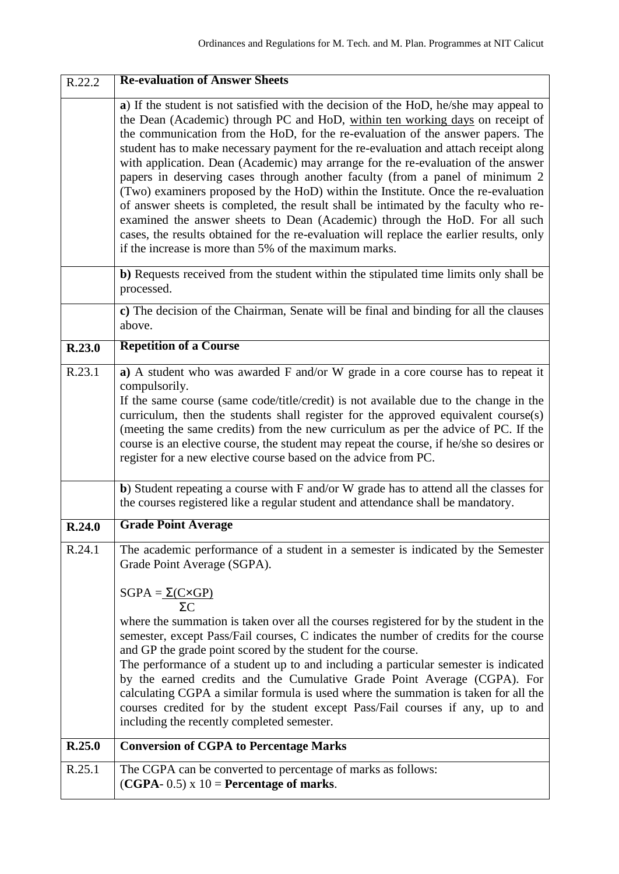| R.22.2 | <b>Re-evaluation of Answer Sheets</b>                                                                                                                                                                                                                                                                                                                                                                                                                                                                                                                                                                                                                                                                                                                                                                                                                                                                                                  |
|--------|----------------------------------------------------------------------------------------------------------------------------------------------------------------------------------------------------------------------------------------------------------------------------------------------------------------------------------------------------------------------------------------------------------------------------------------------------------------------------------------------------------------------------------------------------------------------------------------------------------------------------------------------------------------------------------------------------------------------------------------------------------------------------------------------------------------------------------------------------------------------------------------------------------------------------------------|
|        | a) If the student is not satisfied with the decision of the HoD, he/she may appeal to<br>the Dean (Academic) through PC and HoD, within ten working days on receipt of<br>the communication from the HoD, for the re-evaluation of the answer papers. The<br>student has to make necessary payment for the re-evaluation and attach receipt along<br>with application. Dean (Academic) may arrange for the re-evaluation of the answer<br>papers in deserving cases through another faculty (from a panel of minimum 2<br>(Two) examiners proposed by the HoD) within the Institute. Once the re-evaluation<br>of answer sheets is completed, the result shall be intimated by the faculty who re-<br>examined the answer sheets to Dean (Academic) through the HoD. For all such<br>cases, the results obtained for the re-evaluation will replace the earlier results, only<br>if the increase is more than 5% of the maximum marks. |
|        | b) Requests received from the student within the stipulated time limits only shall be<br>processed.                                                                                                                                                                                                                                                                                                                                                                                                                                                                                                                                                                                                                                                                                                                                                                                                                                    |
|        | c) The decision of the Chairman, Senate will be final and binding for all the clauses<br>above.                                                                                                                                                                                                                                                                                                                                                                                                                                                                                                                                                                                                                                                                                                                                                                                                                                        |
| R.23.0 | <b>Repetition of a Course</b>                                                                                                                                                                                                                                                                                                                                                                                                                                                                                                                                                                                                                                                                                                                                                                                                                                                                                                          |
| R.23.1 | a) A student who was awarded F and/or W grade in a core course has to repeat it<br>compulsorily.<br>If the same course (same code/title/credit) is not available due to the change in the<br>curriculum, then the students shall register for the approved equivalent course(s)<br>(meeting the same credits) from the new curriculum as per the advice of PC. If the<br>course is an elective course, the student may repeat the course, if he/she so desires or<br>register for a new elective course based on the advice from PC.                                                                                                                                                                                                                                                                                                                                                                                                   |
|        | b) Student repeating a course with F and/or W grade has to attend all the classes for<br>the courses registered like a regular student and attendance shall be mandatory.                                                                                                                                                                                                                                                                                                                                                                                                                                                                                                                                                                                                                                                                                                                                                              |
| R.24.0 | <b>Grade Point Average</b>                                                                                                                                                                                                                                                                                                                                                                                                                                                                                                                                                                                                                                                                                                                                                                                                                                                                                                             |
| R.24.1 | The academic performance of a student in a semester is indicated by the Semester<br>Grade Point Average (SGPA).<br>$SGPA = \Sigma(C \times GP)$<br>ΣC<br>where the summation is taken over all the courses registered for by the student in the<br>semester, except Pass/Fail courses, C indicates the number of credits for the course<br>and GP the grade point scored by the student for the course.<br>The performance of a student up to and including a particular semester is indicated<br>by the earned credits and the Cumulative Grade Point Average (CGPA). For<br>calculating CGPA a similar formula is used where the summation is taken for all the<br>courses credited for by the student except Pass/Fail courses if any, up to and<br>including the recently completed semester.                                                                                                                                      |
| R.25.0 | <b>Conversion of CGPA to Percentage Marks</b>                                                                                                                                                                                                                                                                                                                                                                                                                                                                                                                                                                                                                                                                                                                                                                                                                                                                                          |
| R.25.1 | The CGPA can be converted to percentage of marks as follows:<br>$(CGPA - 0.5) \times 10$ = Percentage of marks.                                                                                                                                                                                                                                                                                                                                                                                                                                                                                                                                                                                                                                                                                                                                                                                                                        |